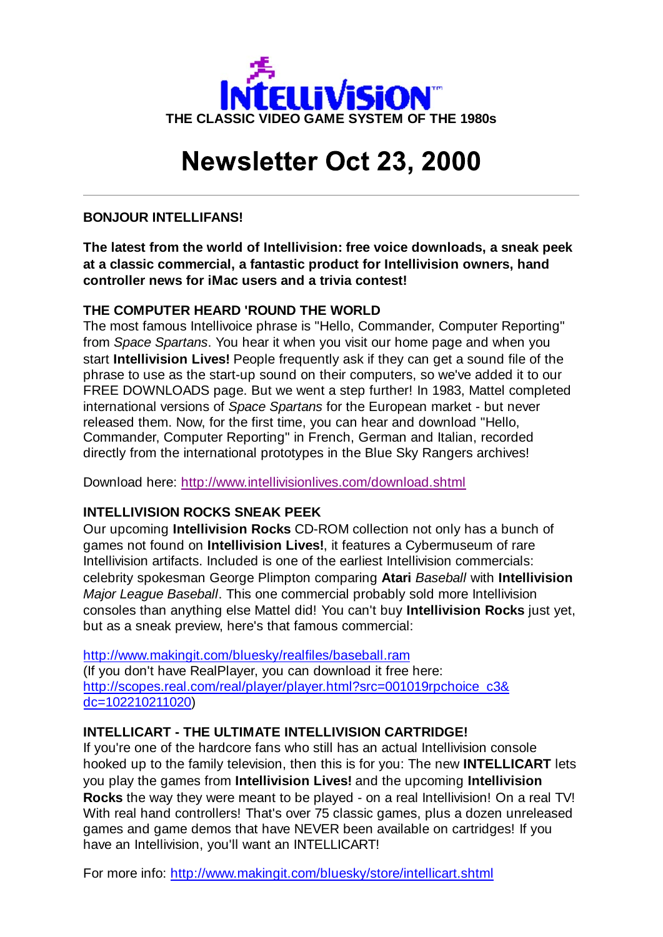

# **Newsletter Oct 23, 2000**

## **BONJOUR INTELLIFANS!**

**The latest from the world of Intellivision: free voice downloads, a sneak peek at a classic commercial, a fantastic product for Intellivision owners, hand controller news for iMac users and a trivia contest!**

## **THE COMPUTER HEARD 'ROUND THE WORLD**

The most famous Intellivoice phrase is "Hello, Commander, Computer Reporting" from *Space Spartans*. You hear it when you visit our home page and when you start **Intellivision Lives!** People frequently ask if they can get a sound file of the phrase to use as the start-up sound on their computers, so we've added it to our FREE DOWNLOADS page. But we went a step further! In 1983, Mattel completed international versions of *Space Spartans* for the European market - but never released them. Now, for the first time, you can hear and download "Hello, Commander, Computer Reporting" in French, German and Italian, recorded directly from the international prototypes in the Blue Sky Rangers archives!

Download here: http://www.intellivisionlives.com/download.shtml

# **INTELLIVISION ROCKS SNEAK PEEK**

Our upcoming **Intellivision Rocks** CD-ROM collection not only has a bunch of games not found on **Intellivision Lives!**, it features a Cybermuseum of rare Intellivision artifacts. Included is one of the earliest Intellivision commercials: celebrity spokesman George Plimpton comparing **Atari** *Baseball* with **Intellivision** *Major League Baseball*. This one commercial probably sold more Intellivision consoles than anything else Mattel did! You can't buy **Intellivision Rocks** just yet, but as a sneak preview, here's that famous commercial:

http://www.makingit.com/bluesky/realfiles/baseball.ram (If you don't have RealPlayer, you can download it free here: http://scopes.real.com/real/player/player.html?src=001019rpchoice\_c3& dc=102210211020)

# **INTELLICART - THE ULTIMATE INTELLIVISION CARTRIDGE!**

If you're one of the hardcore fans who still has an actual Intellivision console hooked up to the family television, then this is for you: The new **INTELLICART** lets you play the games from **Intellivision Lives!** and the upcoming **Intellivision Rocks** the way they were meant to be played - on a real Intellivision! On a real TV! With real hand controllers! That's over 75 classic games, plus a dozen unreleased games and game demos that have NEVER been available on cartridges! If you have an Intellivision, you'll want an INTELLICART!

For more info: http://www.makingit.com/bluesky/store/intellicart.shtml